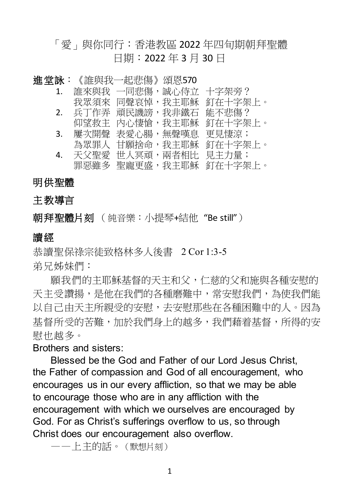# 「愛」與你同行:香港教區 2022 年四旬期朝拜聖體 日期:2022 年 3 月 30 日

| 進堂詠:           | 《誰與我一起悲傷》      | 頌恩570 |         |
|----------------|----------------|-------|---------|
| $\mathbf{1}$ . | 誰來與我 一同悲傷,     | 誠心侍立  | 十字架旁?   |
|                | 我眾須來 同聲哀悼,我主耶穌 |       | 釘在十字架上。 |
| 2.             | 兵丁作弄 頑民譏謗,我非鐵石 |       | 能不悲傷?   |
|                | 仰望救主 內心悽愴,     | 我主耶穌  | 釘在十字架上。 |
| 3.             | 屢次開聲 表愛心腸,無聲嘆息 |       | 更見悽涼;   |
|                | 為眾罪人 甘願捨命,     | 我主耶穌  | 釘在十字架上。 |
| 4.             | 天父聖愛 世人冥頑,兩者相比 |       | 見主力量;   |
|                | 罪惡雖多 聖寵更盛,我主耶穌 |       | 釘在十字架上。 |

### 明供聖體

## 主教導言

朝拜聖體片刻 (純音樂:小提琴+結他"Be still")

### 讀經

恭讀聖保祿宗徒致格林多人後書 2 Cor 1:3-5 弟兄姊妹們:

願我們的主耶穌基督的天主和父,仁慈的父和施與各種安慰的 天主受讚揚,是他在我們的各種磨難中,常安慰我們,為使我們能 以自己由天主所親受的安慰,去安慰那些在各種困難中的人。因為 基督所受的苦難,加於我們身上的越多,我們藉着基督,所得的安 慰也越多。

### Brothers and sisters:

Blessed be the God and Father of our Lord Jesus Christ, the Father of compassion and God of all encouragement, who encourages us in our every affliction, so that we may be able to encourage those who are in any affliction with the encouragement with which we ourselves are encouraged by God. For as Christ's sufferings overflow to us, so through Christ does our encouragement also overflow.

——上主的話。(默想片刻)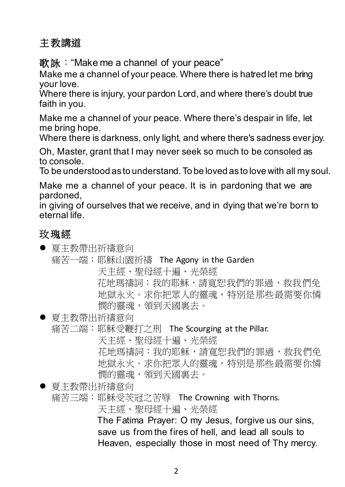# 主教講道

歌詠: "Make me a channel of your peace"

Make me a channel of your peace. Where there is hatred let me bring your love.

Where there is injury, your pardon Lord, and where there's doubt true faith in you.

Make me a channel of your peace. Where there's despair in life, let me bring hope.

Where there is darkness, only light, and where there's sadness ever joy.

Oh, Master, grant that I may never seek so much to be consoled as to console.

To be understood as to understand. To be loved as to love with all my soul.

Make me a channel of your peace. It is in pardoning that we are pardoned,

in giving of ourselves that we receive, and in dying that we're born to eternal life.

# 玫瑰經

● 夏主教帶出祈禱意向 痛苦一端:耶穌山園祈禱 The Agony in the Garden 天主經、聖母經十遍、光榮經 花地瑪禱詞:我的耶穌,請寬恕我們的罪過,救我們免 地獄永火。求你把眾人的靈魂,特別是那些最需要你憐 憫的靈魂,領到天國裏去。 ● 夏主教帶出祈禱意向 痛苦二端:耶穌受鞭打之刑 The Scourging at the Pillar. 天主經、聖母經十遍、光榮經 花地瑪禱詞:我的耶穌,請寬恕我們的罪過,救我們免 地獄永火。求你把眾人的靈魂,特別是那些最需要你憐 憫的靈魂,領到天國裏去。 ● 夏主教帶出祈禱意向 痛苦三端:耶穌受茨冠之苦辱 The Crowning with Thorns. 天主經、聖母經十遍、光榮經

The Fatima Prayer: O my Jesus, forgive us our sins, save us from the fires of hell, and lead all souls to Heaven, especially those in most need of Thy mercy.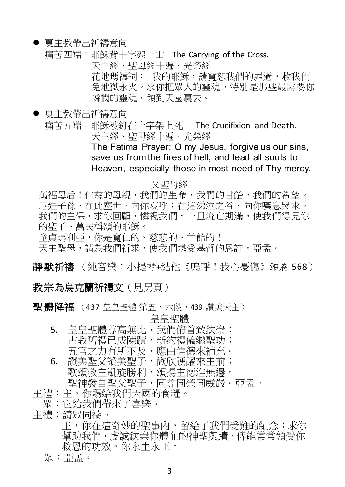#### ● 夏主教帶出祈禱意向

痛苦四端:耶穌背十字架上山 The Carrying of the Cross.

天主經、聖母經十遍、光榮經

- 花地瑪禱詞: 我的耶穌,請寬恕我們的罪過,救我們 免地獄永火。求你把眾人的靈魂,特別是那些最需要你
- 憐憫的靈魂,領到天國裏去。
- 夏主教帶出祈禱意向 痛苦五端:耶穌被釘在十字架上死 The Crucifixion and Death. 天主經、聖母經十遍、光榮經 The Fatima Prayer: O my Jesus, forgive us our sins, save us from the fires of hell, and lead all souls to

Heaven, especially those in most need of Thy mercy.

#### 又聖母經

萬福母后!仁慈的母親,我們的生命,我們的甘飴,我們的希望。 厄娃子孫,在此塵世,向你哀呼;在這涕泣之谷,向你嘆息哭求。 我們的主保,求你回顧,憐視我們,一旦流亡期滿,使我們得見你 的聖子、萬民稱頌的耶穌。

童貞瑪利亞,你是寬仁的、慈悲的、甘飴的!

天主聖母,請為我們祈求,使我們堪受基督的恩許。亞孟。

靜默祈禱 (純音樂:小提琴+結他《嗚呼!我心憂傷》頌恩 568)

### 教宗為烏克蘭祈禱文(見另頁)

聖體降福 (437 皇皇聖體 第五、六段, 439 讚美天主)

皇皇聖體

- 5. 皇皇聖體尊高無比,我們俯首致欽崇;
	- 古教舊禮已成陳蹟,新約禮儀繼聖功;
	- 五官之力有所不及,應由信德來補充。
- 6. 讚美聖父讚美聖子,歡欣踴躍來主前; 歌頌救主凱旋勝利,頌揚主德浩無邊。 聖神發自聖父聖子,同尊同榮同威嚴。亞孟。
- 主禮:主,你賜給我們天國的食糧。
- 眾:它給我們帶來了喜樂。
- 主禮:請眾同禱。

主,你在這奇妙的聖事內,留給了我們受難的紀念;求你 幫助我們,虔誠欽崇你體血的神聖奧蹟,俾能常常領受你 救恩的功效。你永生永王。

眾:亞孟。